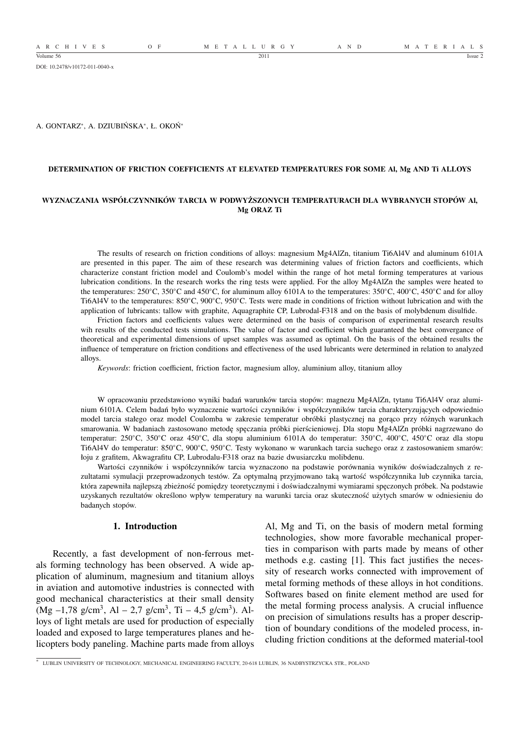A R C H I V E S O F M E T A L L U R G Y A N D M A T E R I A L S

DOI: 10.2478/v10172-011-0040-x

A. GONTARZ<sup>∗</sup> , A. DZIUBIŃSKA<sup>∗</sup> , Ł. OKOŃ<sup>∗</sup>

### **DETERMINATION OF FRICTION COEFFICIENTS AT ELEVATED TEMPERATURES FOR SOME Al, Mg AND Ti ALLOYS**

## **WYZNACZANIA WSPÓŁCZYNNIKÓW TARCIA W PODWYŻSZONYCH TEMPERATURACH DLA WYBRANYCH STOPÓW Al, Mg ORAZ Ti**

The results of research on friction conditions of alloys: magnesium Mg4AlZn, titanium Ti6Al4V and aluminum 6101A are presented in this paper. The aim of these research was determining values of friction factors and coefficients, which characterize constant friction model and Coulomb's model within the range of hot metal forming temperatures at various lubrication conditions. In the research works the ring tests were applied. For the alloy Mg4AlZn the samples were heated to the temperatures: 250◦C, 350◦C and 450◦C, for aluminum alloy 6101A to the temperatures: 350◦C, 400◦C, 450◦C and for alloy Ti6Al4V to the temperatures: 850◦C, 900◦C, 950◦C. Tests were made in conditions of friction without lubrication and with the application of lubricants: tallow with graphite, Aquagraphite CP, Lubrodal-F318 and on the basis of molybdenum disulfide.

Friction factors and coefficients values were determined on the basis of comparison of experimental research results wih results of the conducted tests simulations. The value of factor and coefficient which guaranteed the best convergance of theoretical and experimental dimensions of upset samples was assumed as optimal. On the basis of the obtained results the influence of temperature on friction conditions and effectiveness of the used lubricants were determined in relation to analyzed alloys.

*Keywords*: friction coefficient, friction factor, magnesium alloy, aluminium alloy, titanium alloy

W opracowaniu przedstawiono wyniki badań warunków tarcia stopów: magnezu Mg4AlZn, tytanu Ti6Al4V oraz aluminium 6101A. Celem badań było wyznaczenie wartości czynników i współczynników tarcia charakteryzujących odpowiednio model tarcia stałego oraz model Coulomba w zakresie temperatur obróbki plastycznej na gorąco przy różnych warunkach smarowania. W badaniach zastosowano metodę spęczania próbki pierścieniowej. Dla stopu Mg4AlZn próbki nagrzewano do temperatur: 250◦C, 350◦C oraz 450◦C, dla stopu aluminium 6101A do temperatur: 350◦C, 400◦C, 450◦C oraz dla stopu Ti6Al4V do temperatur: 850◦C, 900◦C, 950◦C. Testy wykonano w warunkach tarcia suchego oraz z zastosowaniem smarów: łoju z grafitem, Akwagrafitu CP, Lubrodalu-F318 oraz na bazie dwusiarczku molibdenu.

Wartości czynników i współczynników tarcia wyznaczono na podstawie porównania wyników doświadczalnych z rezultatami symulacji przeprowadzonych testów. Za optymalną przyjmowano taką wartość współczynnika lub czynnika tarcia, która zapewniła najlepszą zbieżność pomiędzy teoretycznymi i doświadczalnymi wymiarami spęczonych próbek. Na podstawie uzyskanych rezultatów określono wpływ temperatury na warunki tarcia oraz skuteczność użytych smarów w odniesieniu do badanych stopów.

#### **1. Introduction**

Recently, a fast development of non-ferrous metals forming technology has been observed. A wide application of aluminum, magnesium and titanium alloys in aviation and automotive industries is connected with good mechanical characteristics at their small density  $(Mg - 1.78 g/cm<sup>3</sup>, Al - 2.7 g/cm<sup>3</sup>, Ti - 4.5 g/cm<sup>3</sup>). Al$ loys of light metals are used for production of especially loaded and exposed to large temperatures planes and helicopters body paneling. Machine parts made from alloys Al, Mg and Ti, on the basis of modern metal forming technologies, show more favorable mechanical properties in comparison with parts made by means of other methods e.g. casting [1]. This fact justifies the necessity of research works connected with improvement of metal forming methods of these alloys in hot conditions. Softwares based on finite element method are used for the metal forming process analysis. A crucial influence on precision of simulations results has a proper description of boundary conditions of the modeled process, including friction conditions at the deformed material-tool

<sup>∗</sup> LUBLIN UNIVERSITY OF TECHNOLOGY, MECHANICAL ENGINEERING FACULTY, 20-618 LUBLIN, 36 NADBYSTRZYCKA STR., POLAND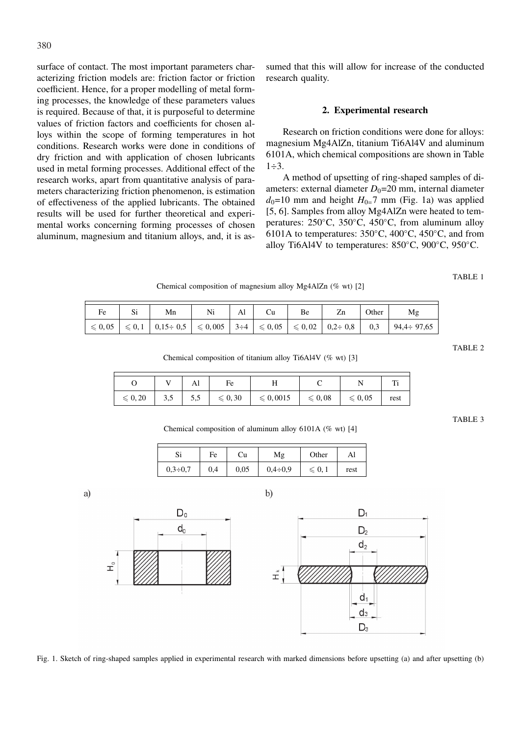surface of contact. The most important parameters characterizing friction models are: friction factor or friction coefficient. Hence, for a proper modelling of metal forming processes, the knowledge of these parameters values is required. Because of that, it is purposeful to determine values of friction factors and coefficients for chosen alloys within the scope of forming temperatures in hot conditions. Research works were done in conditions of dry friction and with application of chosen lubricants used in metal forming processes. Additional effect of the research works, apart from quantitative analysis of parameters characterizing friction phenomenon, is estimation of effectiveness of the applied lubricants. The obtained results will be used for further theoretical and experimental works concerning forming processes of chosen aluminum, magnesium and titanium alloys, and, it is assumed that this will allow for increase of the conducted research quality.

# **2. Experimental research**

Research on friction conditions were done for alloys: magnesium Mg4AlZn, titanium Ti6Al4V and aluminum 6101A, which chemical compositions are shown in Table  $1\div 3$ .

A method of upsetting of ring-shaped samples of diameters: external diameter  $D_0=20$  mm, internal diameter  $d_0$ =10 mm and height  $H_0$ =7 mm (Fig. 1a) was applied [5, 6]. Samples from alloy Mg4AlZn were heated to temperatures: 250◦C, 350◦C, 450◦C, from aluminum alloy 6101A to temperatures:  $350^{\circ}$ C,  $400^{\circ}$ C,  $450^{\circ}$ C, and from alloy Ti6Al4V to temperatures: 850◦C, 900◦C, 950◦C.

TABLE 1

Chemical composition of magnesium alloy Mg4AlZn (% wt) [2]

| Fe | υ۱ | Mn                                                                                                                                                         | Ni |  | Be | Zn | Other | Mg                |
|----|----|------------------------------------------------------------------------------------------------------------------------------------------------------------|----|--|----|----|-------|-------------------|
|    |    | $  \leqslant 0,05 \mid \leqslant 0,1 \mid 0,15 \div 0,5 \mid \leqslant 0,005 \mid 3 \div 4 \mid \leqslant 0,05 \mid \leqslant 0,02 \mid 0,2 \div 0,8 \mid$ |    |  |    |    | 0,3   | $94.4 \div 97.65$ |

TABLE 2

Chemical composition of titanium alloy Ti6Al4V (% wt) [3]

|                   |     | 4. A.L | $H\Omega$         |                    |                  |                  |      |
|-------------------|-----|--------|-------------------|--------------------|------------------|------------------|------|
| $\leqslant 0, 20$ | 3.5 | 5,5    | $\leqslant 0, 30$ | $\leqslant 0,0015$ | $\leqslant 0,08$ | $\leqslant 0,05$ | rest |

TABLE 3

Chemical composition of aluminum alloy 6101A (% wt) [4]

|                | Fe  | Сu   |                | Other     | Al   |  |
|----------------|-----|------|----------------|-----------|------|--|
| $0.3 \div 0.7$ | 0,4 | 0,05 | $0.4 \div 0.9$ | $\leq 0.$ | rest |  |

a)



Fig. 1. Sketch of ring-shaped samples applied in experimental research with marked dimensions before upsetting (a) and after upsetting (b)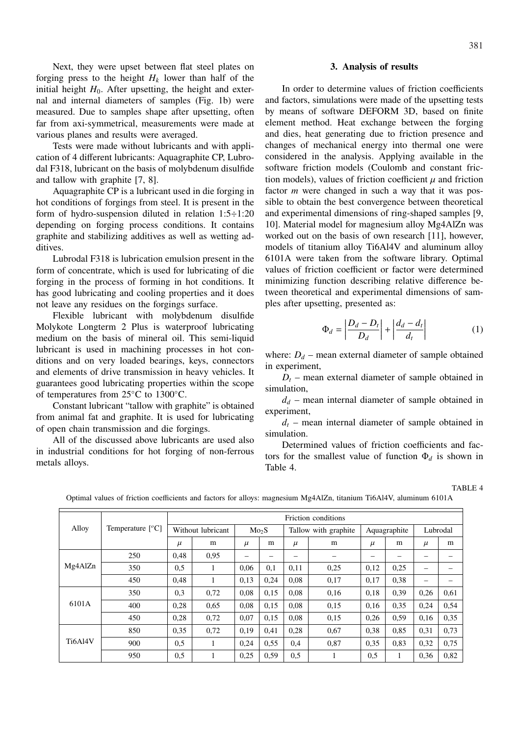Next, they were upset between flat steel plates on forging press to the height  $H_k$  lower than half of the initial height  $H_0$ . After upsetting, the height and external and internal diameters of samples (Fig. 1b) were measured. Due to samples shape after upsetting, often far from axi-symmetrical, measurements were made at various planes and results were averaged.

Tests were made without lubricants and with application of 4 different lubricants: Aquagraphite CP, Lubrodal F318, lubricant on the basis of molybdenum disulfide and tallow with graphite [7, 8].

Aquagraphite CP is a lubricant used in die forging in hot conditions of forgings from steel. It is present in the form of hydro-suspension diluted in relation 1:5÷1:20 depending on forging process conditions. It contains graphite and stabilizing additives as well as wetting additives.

Lubrodal F318 is lubrication emulsion present in the form of concentrate, which is used for lubricating of die forging in the process of forming in hot conditions. It has good lubricating and cooling properties and it does not leave any residues on the forgings surface.

Flexible lubricant with molybdenum disulfide Molykote Longterm 2 Plus is waterproof lubricating medium on the basis of mineral oil. This semi-liquid lubricant is used in machining processes in hot conditions and on very loaded bearings, keys, connectors and elements of drive transmission in heavy vehicles. It guarantees good lubricating properties within the scope of temperatures from 25◦C to 1300◦C.

Constant lubricant "tallow with graphite" is obtained from animal fat and graphite. It is used for lubricating of open chain transmission and die forgings.

All of the discussed above lubricants are used also in industrial conditions for hot forging of non-ferrous metals alloys.

In order to determine values of friction coefficients and factors, simulations were made of the upsetting tests by means of software DEFORM 3D, based on finite element method. Heat exchange between the forging and dies, heat generating due to friction presence and changes of mechanical energy into thermal one were considered in the analysis. Applying available in the software friction models (Coulomb and constant friction models), values of friction coefficient  $\mu$  and friction factor *m* were changed in such a way that it was possible to obtain the best convergence between theoretical and experimental dimensions of ring-shaped samples [9, 10]. Material model for magnesium alloy Mg4AlZn was worked out on the basis of own research [11], however, models of titanium alloy Ti6Al4V and aluminum alloy 6101A were taken from the software library. Optimal values of friction coefficient or factor were determined minimizing function describing relative difference between theoretical and experimental dimensions of samples after upsetting, presented as:

$$
\Phi_d = \left| \frac{D_d - D_t}{D_d} \right| + \left| \frac{d_d - d_t}{d_t} \right| \tag{1}
$$

where:  $D_d$  – mean external diameter of sample obtained in experiment,

 $D_t$  – mean external diameter of sample obtained in simulation,

 $d_d$  – mean internal diameter of sample obtained in experiment,

 $d_t$  – mean internal diameter of sample obtained in simulation.

Determined values of friction coefficients and factors for the smallest value of function  $\Phi_d$  is shown in Table 4.

TABLE 4

| Alloy          | Temperature $[^{\circ}C]$ | Friction conditions |      |                   |      |                      |      |              |      |          |      |
|----------------|---------------------------|---------------------|------|-------------------|------|----------------------|------|--------------|------|----------|------|
|                |                           | Without lubricant   |      | Mo <sub>2</sub> S |      | Tallow with graphite |      | Aquagraphite |      | Lubrodal |      |
|                |                           | $\mu$               | m    | $\mu$             | m    | $\mu$                | m    | $\mu$        | m    | $\mu$    | m    |
| Mg4AlZn        | 250                       | 0,48                | 0,95 |                   |      |                      |      |              |      |          |      |
|                | 350                       | 0.5                 | 1    | 0,06              | 0,1  | 0,11                 | 0,25 | 0,12         | 0,25 | -        |      |
|                | 450                       | 0,48                | 1    | 0.13              | 0,24 | 0,08                 | 0,17 | 0,17         | 0,38 | -        |      |
| 6101A          | 350                       | 0,3                 | 0,72 | 0.08              | 0.15 | 0.08                 | 0,16 | 0,18         | 0,39 | 0,26     | 0.61 |
|                | 400                       | 0,28                | 0.65 | 0.08              | 0.15 | 0.08                 | 0.15 | 0,16         | 0,35 | 0,24     | 0,54 |
|                | 450                       | 0,28                | 0,72 | 0,07              | 0.15 | 0,08                 | 0.15 | 0,26         | 0,59 | 0,16     | 0,35 |
| <b>Ti6A14V</b> | 850                       | 0,35                | 0,72 | 0,19              | 0.41 | 0.28                 | 0.67 | 0,38         | 0,85 | 0,31     | 0.73 |
|                | 900                       | 0,5                 | 1    | 0,24              | 0.55 | 0.4                  | 0,87 | 0.35         | 0,83 | 0,32     | 0.75 |
|                | 950                       | 0.5                 | 1    | 0,25              | 0.59 | 0,5                  |      | 0,5          | 1    | 0,36     | 0,82 |

Optimal values of friction coefficients and factors for alloys: magnesium Mg4AlZn, titanium Ti6Al4V, aluminum 6101A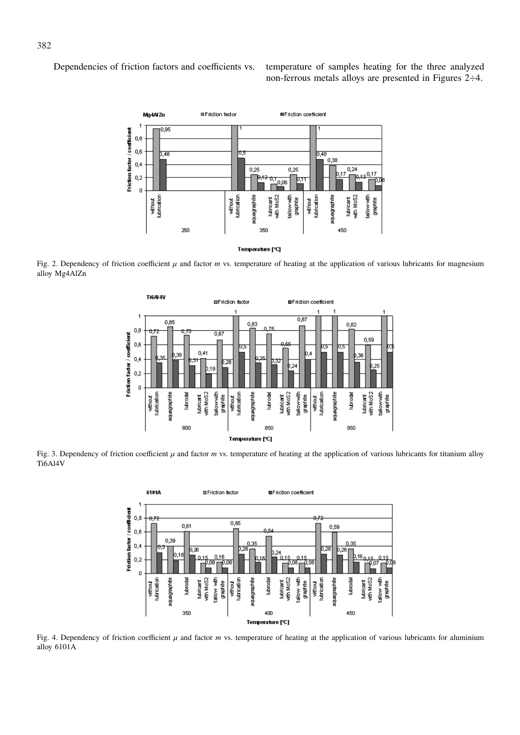Dependencies of friction factors and coefficients vs. temperature of samples heating for the three analyzed non-ferrous metals alloys are presented in Figures 2÷4.



Fig. 2. Dependency of friction coefficient  $\mu$  and factor *m* vs. temperature of heating at the application of various lubricants for magnesium alloy Mg4AlZn



Fig. 3. Dependency of friction coefficient  $\mu$  and factor *m* vs. temperature of heating at the application of various lubricants for titanium alloy Ti6Al4V



Fig. 4. Dependency of friction coefficient  $\mu$  and factor  $m$  vs. temperature of heating at the application of various lubricants for aluminium alloy 6101A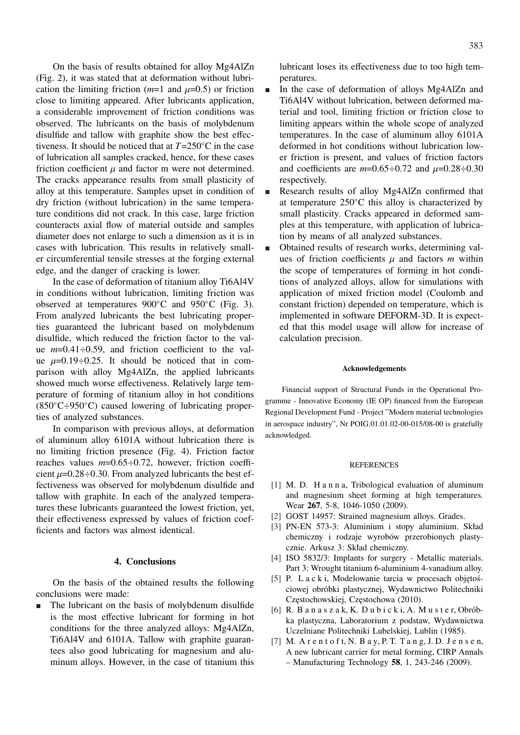383

On the basis of results obtained for alloy Mg4AlZn (Fig. 2), it was stated that at deformation without lubrication the limiting friction  $(m=1 \text{ and } \mu=0.5)$  or friction close to limiting appeared. After lubricants application, a considerable improvement of friction conditions was observed. The lubricants on the basis of molybdenum disulfide and tallow with graphite show the best effectiveness. It should be noticed that at *T*=250◦C in the case of lubrication all samples cracked, hence, for these cases friction coefficient  $\mu$  and factor m were not determined. The cracks appearance results from small plasticity of alloy at this temperature. Samples upset in condition of dry friction (without lubrication) in the same temperature conditions did not crack. In this case, large friction counteracts axial flow of material outside and samples diameter does not enlarge to such a dimension as it is in cases with lubrication. This results in relatively smaller circumferential tensile stresses at the forging external edge, and the danger of cracking is lower.

In the case of deformation of titanium alloy Ti6Al4V in conditions without lubrication, limiting friction was observed at temperatures 900◦C and 950◦C (Fig. 3). From analyzed lubricants the best lubricating properties guaranteed the lubricant based on molybdenum disulfide, which reduced the friction factor to the value *m*=0.41÷0.59, and friction coefficient to the value  $\mu=0.19\div0.25$ . It should be noticed that in comparison with alloy Mg4AlZn, the applied lubricants showed much worse effectiveness. Relatively large temperature of forming of titanium alloy in hot conditions  $(850^{\circ}C \div 950^{\circ}C)$  caused lowering of lubricating properties of analyzed substances.

In comparison with previous alloys, at deformation of aluminum alloy 6101A without lubrication there is no limiting friction presence (Fig. 4). Friction factor reaches values *m*=0.65÷0.72, however, friction coefficient  $\mu$ =0.28÷0.30. From analyzed lubricants the best effectiveness was observed for molybdenum disulfide and tallow with graphite. In each of the analyzed temperatures these lubricants guaranteed the lowest friction, yet, their effectiveness expressed by values of friction coefficients and factors was almost identical.

# **4. Conclusions**

On the basis of the obtained results the following conclusions were made:

The lubricant on the basis of molybdenum disulfide is the most effective lubricant for forming in hot conditions for the three analyzed alloys: Mg4AlZn, Ti6Al4V and 6101A. Tallow with graphite guarantees also good lubricating for magnesium and aluminum alloys. However, in the case of titanium this lubricant loses its effectiveness due to too high temperatures.

- In the case of deformation of alloys Mg4AlZn and Ti6Al4V without lubrication, between deformed material and tool, limiting friction or friction close to limiting appears within the whole scope of analyzed temperatures. In the case of aluminum alloy 6101A deformed in hot conditions without lubrication lower friction is present, and values of friction factors and coefficients are  $m=0.65 \div 0.72$  and  $\mu=0.28 \div 0.30$ respectively.
- Research results of alloy Mg4AlZn confirmed that at temperature  $250^{\circ}$ C this alloy is characterized by small plasticity. Cracks appeared in deformed samples at this temperature, with application of lubrication by means of all analyzed substances.
- Obtained results of research works, determining values of friction coefficients  $\mu$  and factors  $m$  within the scope of temperatures of forming in hot conditions of analyzed alloys, allow for simulations with application of mixed friction model (Coulomb and constant friction) depended on temperature, which is implemented in software DEFORM-3D. It is expected that this model usage will allow for increase of calculation precision.

#### **Acknowledgements**

Financial support of Structural Funds in the Operational Programme - Innovative Economy (IE OP) financed from the European Regional Development Fund - Project "Modern material technologies in aerospace industry", Nr POIG.01.01.02-00-015/08-00 is gratefully acknowledged.

### **REFERENCES**

- [1] M. D. H a n n a, Tribological evaluation of aluminum and magnesium sheet forming at high temperatures. Wear **267**, 5-8, 1046-1050 (2009).
- [2] GOST 14957: Strained magnesium alloys. Grades.
- [3] PN-EN 573-3: Aluminium i stopy aluminium. Skład chemiczny i rodzaje wyrobów przerobionych plastycznie. Arkusz 3: Skład chemiczny.
- [4] ISO 5832/3: Implants for surgery Metallic materials. Part 3: Wrought titanium 6-aluminium 4-vanadium alloy.
- [5] P. L a c k i, Modelowanie tarcia w procesach objętościowej obróbki plastycznej, Wydawnictwo Politechniki Częstochowskiej, Częstochowa (2010).
- [6] R. B a n a s z a k, K. D u b i c k i, A. M u s t e r, Obróbka plastyczna, Laboratorium z podstaw, Wydawnictwa Uczelniane Politechniki Lubelskiej, Lublin (1985).
- [7] M. A r e n t o f t, N. B a y, P. T. T a n g, J. D. J e n s e n, A new lubricant carrier for metal forming, CIRP Annals – Manufacturing Technology **58**, 1, 243-246 (2009).